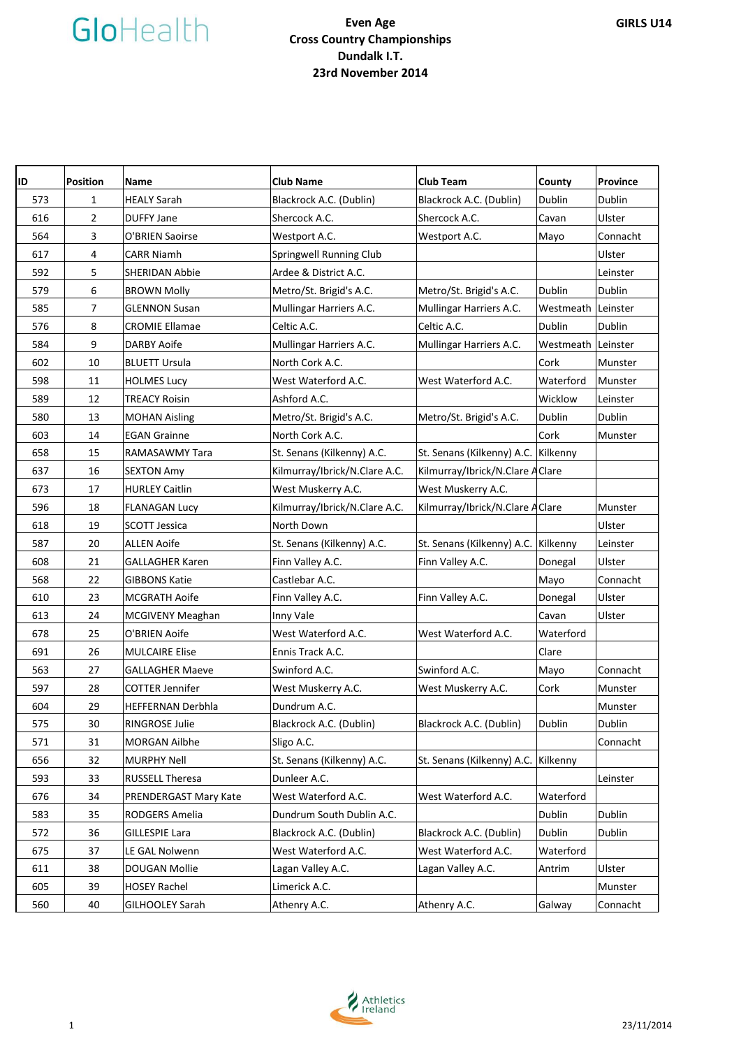| ID  | <b>Position</b> | Name                    | <b>Club Name</b>              | <b>Club Team</b>                    | County             | <b>Province</b> |
|-----|-----------------|-------------------------|-------------------------------|-------------------------------------|--------------------|-----------------|
| 573 | $\mathbf{1}$    | <b>HEALY Sarah</b>      | Blackrock A.C. (Dublin)       | Blackrock A.C. (Dublin)             | Dublin             | Dublin          |
| 616 | $\overline{2}$  | <b>DUFFY Jane</b>       | Shercock A.C.                 | Shercock A.C.                       | Cavan              | Ulster          |
| 564 | 3               | O'BRIEN Saoirse         | Westport A.C.                 | Westport A.C.                       | Mayo               | Connacht        |
| 617 | 4               | <b>CARR Niamh</b>       | Springwell Running Club       |                                     |                    | Ulster          |
| 592 | 5               | SHERIDAN Abbie          | Ardee & District A.C.         |                                     |                    | Leinster        |
| 579 | 6               | <b>BROWN Molly</b>      | Metro/St. Brigid's A.C.       | Metro/St. Brigid's A.C.             | Dublin             | Dublin          |
| 585 | $\overline{7}$  | <b>GLENNON Susan</b>    | Mullingar Harriers A.C.       | Mullingar Harriers A.C.             | Westmeath          | Leinster        |
| 576 | 8               | <b>CROMIE Ellamae</b>   | Celtic A.C.                   | Celtic A.C.                         | Dublin             | Dublin          |
| 584 | 9               | DARBY Aoife             | Mullingar Harriers A.C.       | Mullingar Harriers A.C.             | Westmeath Leinster |                 |
| 602 | 10              | <b>BLUETT Ursula</b>    | North Cork A.C.               |                                     | Cork               | Munster         |
| 598 | 11              | <b>HOLMES Lucy</b>      | West Waterford A.C.           | West Waterford A.C.                 | Waterford          | Munster         |
| 589 | 12              | <b>TREACY Roisin</b>    | Ashford A.C.                  |                                     | Wicklow            | Leinster        |
| 580 | 13              | <b>MOHAN Aisling</b>    | Metro/St. Brigid's A.C.       | Metro/St. Brigid's A.C.             | Dublin             | Dublin          |
| 603 | 14              | <b>EGAN Grainne</b>     | North Cork A.C.               |                                     | Cork               | Munster         |
| 658 | 15              | RAMASAWMY Tara          | St. Senans (Kilkenny) A.C.    | St. Senans (Kilkenny) A.C. Kilkenny |                    |                 |
| 637 | 16              | <b>SEXTON Amy</b>       | Kilmurray/Ibrick/N.Clare A.C. | Kilmurray/Ibrick/N.Clare A Clare    |                    |                 |
| 673 | 17              | <b>HURLEY Caitlin</b>   | West Muskerry A.C.            | West Muskerry A.C.                  |                    |                 |
| 596 | 18              | <b>FLANAGAN Lucy</b>    | Kilmurray/Ibrick/N.Clare A.C. | Kilmurray/Ibrick/N.Clare A Clare    |                    | Munster         |
| 618 | 19              | <b>SCOTT Jessica</b>    | North Down                    |                                     |                    | Ulster          |
| 587 | 20              | <b>ALLEN Aoife</b>      | St. Senans (Kilkenny) A.C.    | St. Senans (Kilkenny) A.C.          | Kilkenny           | Leinster        |
| 608 | 21              | <b>GALLAGHER Karen</b>  | Finn Valley A.C.              | Finn Valley A.C.                    | Donegal            | Ulster          |
| 568 | 22              | <b>GIBBONS Katie</b>    | Castlebar A.C.                |                                     | Mayo               | Connacht        |
| 610 | 23              | <b>MCGRATH Aoife</b>    | Finn Valley A.C.              | Finn Valley A.C.                    | Donegal            | Ulster          |
| 613 | 24              | <b>MCGIVENY Meaghan</b> | Inny Vale                     |                                     | Cavan              | Ulster          |
| 678 | 25              | O'BRIEN Aoife           | West Waterford A.C.           | West Waterford A.C.                 | Waterford          |                 |
| 691 | 26              | <b>MULCAIRE Elise</b>   | Ennis Track A.C.              |                                     | Clare              |                 |
| 563 | 27              | <b>GALLAGHER Maeve</b>  | Swinford A.C.                 | Swinford A.C.                       | Mayo               | Connacht        |
| 597 | 28              | <b>COTTER Jennifer</b>  | West Muskerry A.C.            | West Muskerry A.C.                  | Cork               | Munster         |
| 604 | 29              | HEFFERNAN Derbhla       | Dundrum A.C.                  |                                     |                    | Munster         |
| 575 | 30              | RINGROSE Julie          | Blackrock A.C. (Dublin)       | Blackrock A.C. (Dublin)             | Dublin             | Dublin          |
| 571 | 31              | <b>MORGAN Ailbhe</b>    | Sligo A.C.                    |                                     |                    | Connacht        |
| 656 | 32              | <b>MURPHY Nell</b>      | St. Senans (Kilkenny) A.C.    | St. Senans (Kilkenny) A.C.          | Kilkenny           |                 |
| 593 | 33              | RUSSELL Theresa         | Dunleer A.C.                  |                                     |                    | Leinster        |
| 676 | 34              | PRENDERGAST Mary Kate   | West Waterford A.C.           | West Waterford A.C.                 | Waterford          |                 |
| 583 | 35              | RODGERS Amelia          | Dundrum South Dublin A.C.     |                                     | Dublin             | Dublin          |
| 572 | 36              | <b>GILLESPIE Lara</b>   | Blackrock A.C. (Dublin)       | Blackrock A.C. (Dublin)             | Dublin             | Dublin          |
| 675 | 37              | LE GAL Nolwenn          | West Waterford A.C.           | West Waterford A.C.                 | Waterford          |                 |
| 611 | 38              | DOUGAN Mollie           | Lagan Valley A.C.             | Lagan Valley A.C.                   | Antrim             | Ulster          |
| 605 | 39              | <b>HOSEY Rachel</b>     | Limerick A.C.                 |                                     |                    | Munster         |
| 560 | 40              | <b>GILHOOLEY Sarah</b>  | Athenry A.C.                  | Athenry A.C.                        | Galway             | Connacht        |

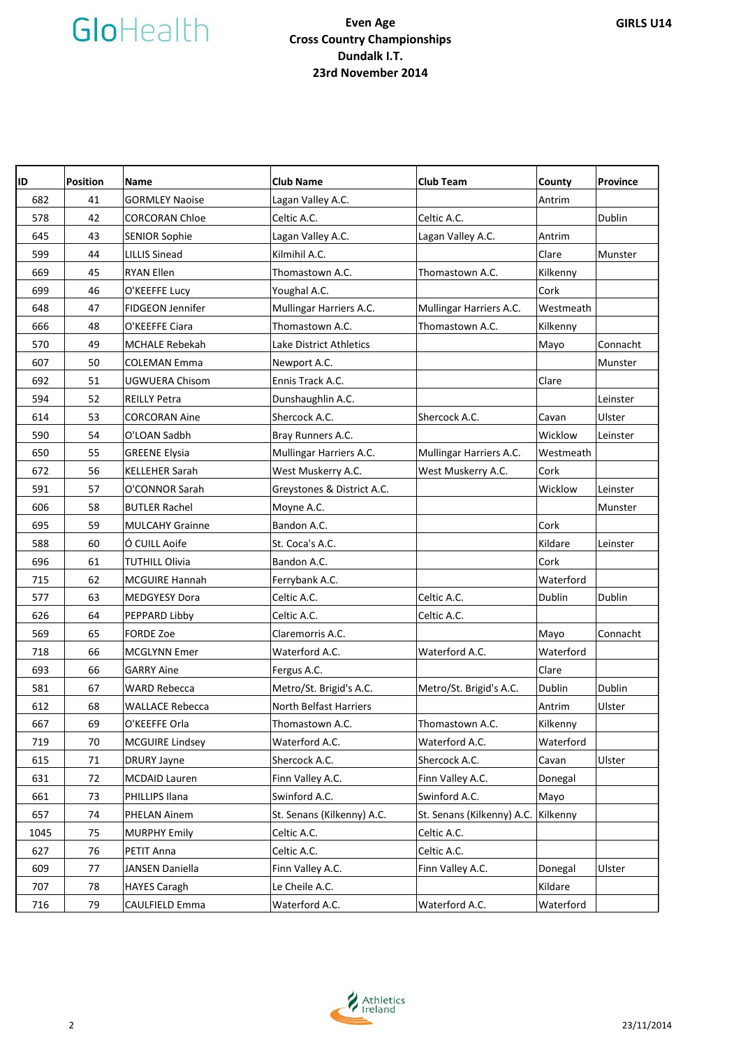| ID   | <b>Position</b> | Name                    | <b>Club Name</b>           | <b>Club Team</b>           | County    | <b>Province</b> |
|------|-----------------|-------------------------|----------------------------|----------------------------|-----------|-----------------|
| 682  | 41              | <b>GORMLEY Naoise</b>   | Lagan Valley A.C.          |                            | Antrim    |                 |
| 578  | 42              | <b>CORCORAN Chloe</b>   | Celtic A.C.                | Celtic A.C.                |           | Dublin          |
| 645  | 43              | <b>SENIOR Sophie</b>    | Lagan Valley A.C.          | Lagan Valley A.C.          | Antrim    |                 |
| 599  | 44              | <b>LILLIS Sinead</b>    | Kilmihil A.C.              |                            | Clare     | Munster         |
| 669  | 45              | <b>RYAN Ellen</b>       | Thomastown A.C.            | Thomastown A.C.            | Kilkenny  |                 |
| 699  | 46              | O'KEEFFE Lucy           | Youghal A.C.               |                            | Cork      |                 |
| 648  | 47              | <b>FIDGEON Jennifer</b> | Mullingar Harriers A.C.    | Mullingar Harriers A.C.    | Westmeath |                 |
| 666  | 48              | O'KEEFFE Ciara          | Thomastown A.C.            | Thomastown A.C.            | Kilkenny  |                 |
| 570  | 49              | <b>MCHALE Rebekah</b>   | Lake District Athletics    |                            | Mayo      | Connacht        |
| 607  | 50              | <b>COLEMAN Emma</b>     | Newport A.C.               |                            |           | Munster         |
| 692  | 51              | UGWUERA Chisom          | Ennis Track A.C.           |                            | Clare     |                 |
| 594  | 52              | <b>REILLY Petra</b>     | Dunshaughlin A.C.          |                            |           | Leinster        |
| 614  | 53              | <b>CORCORAN Aine</b>    | Shercock A.C.              | Shercock A.C.              | Cavan     | Ulster          |
| 590  | 54              | O'LOAN Sadbh            | Bray Runners A.C.          |                            | Wicklow   | Leinster        |
| 650  | 55              | <b>GREENE Elysia</b>    | Mullingar Harriers A.C.    | Mullingar Harriers A.C.    | Westmeath |                 |
| 672  | 56              | <b>KELLEHER Sarah</b>   | West Muskerry A.C.         | West Muskerry A.C.         | Cork      |                 |
| 591  | 57              | O'CONNOR Sarah          | Greystones & District A.C. |                            | Wicklow   | Leinster        |
| 606  | 58              | <b>BUTLER Rachel</b>    | Moyne A.C.                 |                            |           | Munster         |
| 695  | 59              | <b>MULCAHY Grainne</b>  | Bandon A.C.                |                            | Cork      |                 |
| 588  | 60              | Ó CUILL Aoife           | St. Coca's A.C.            |                            | Kildare   | Leinster        |
| 696  | 61              | TUTHILL Olivia          | Bandon A.C.                |                            | Cork      |                 |
| 715  | 62              | <b>MCGUIRE Hannah</b>   | Ferrybank A.C.             |                            | Waterford |                 |
| 577  | 63              | <b>MEDGYESY Dora</b>    | Celtic A.C.                | Celtic A.C.                | Dublin    | Dublin          |
| 626  | 64              | PEPPARD Libby           | Celtic A.C.                | Celtic A.C.                |           |                 |
| 569  | 65              | <b>FORDE Zoe</b>        | Claremorris A.C.           |                            | Mayo      | Connacht        |
| 718  | 66              | <b>MCGLYNN Emer</b>     | Waterford A.C.             | Waterford A.C.             | Waterford |                 |
| 693  | 66              | <b>GARRY Aine</b>       | Fergus A.C.                |                            | Clare     |                 |
| 581  | 67              | <b>WARD Rebecca</b>     | Metro/St. Brigid's A.C.    | Metro/St. Brigid's A.C.    | Dublin    | Dublin          |
| 612  | 68              | <b>WALLACE Rebecca</b>  | North Belfast Harriers     |                            | Antrim    | Ulster          |
| 667  | 69              | O'KEEFFE Orla           | Thomastown A.C.            | Thomastown A.C.            | Kilkenny  |                 |
| 719  | 70              | <b>MCGUIRE Lindsey</b>  | Waterford A.C.             | Waterford A.C.             | Waterford |                 |
| 615  | 71              | <b>DRURY Jayne</b>      | Shercock A.C.              | Shercock A.C.              | Cavan     | Ulster          |
| 631  | 72              | <b>MCDAID Lauren</b>    | Finn Valley A.C.           | Finn Valley A.C.           | Donegal   |                 |
| 661  | 73              | PHILLIPS Ilana          | Swinford A.C.              | Swinford A.C.              | Mayo      |                 |
| 657  | 74              | PHELAN Ainem            | St. Senans (Kilkenny) A.C. | St. Senans (Kilkenny) A.C. | Kilkenny  |                 |
| 1045 | 75              | <b>MURPHY Emily</b>     | Celtic A.C.                | Celtic A.C.                |           |                 |
| 627  | 76              | PETIT Anna              | Celtic A.C.                | Celtic A.C.                |           |                 |
| 609  | 77              | JANSEN Daniella         | Finn Valley A.C.           | Finn Valley A.C.           | Donegal   | Ulster          |
| 707  | 78              | <b>HAYES Caragh</b>     | Le Cheile A.C.             |                            | Kildare   |                 |
| 716  | 79              | CAULFIELD Emma          | Waterford A.C.             | Waterford A.C.             | Waterford |                 |

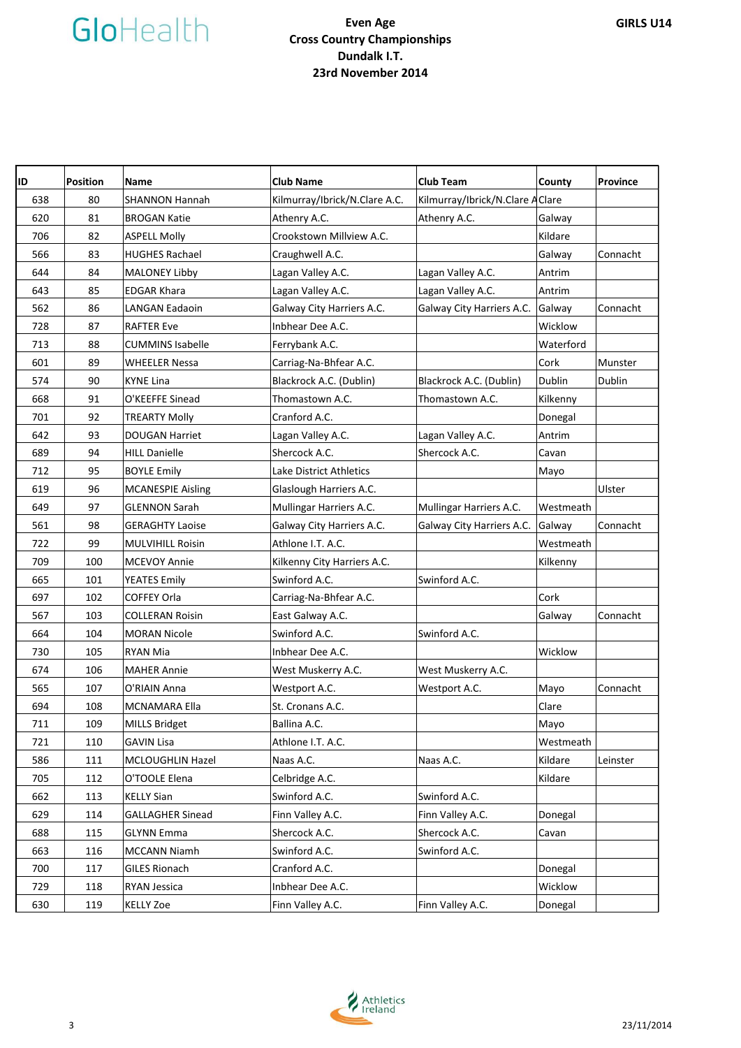| ID  | <b>Position</b> | Name                     | <b>Club Name</b>              | <b>Club Team</b>                 | County    | <b>Province</b> |
|-----|-----------------|--------------------------|-------------------------------|----------------------------------|-----------|-----------------|
| 638 | 80              | <b>SHANNON Hannah</b>    | Kilmurray/Ibrick/N.Clare A.C. | Kilmurray/Ibrick/N.Clare A Clare |           |                 |
| 620 | 81              | <b>BROGAN Katie</b>      | Athenry A.C.                  | Athenry A.C.                     | Galway    |                 |
| 706 | 82              | <b>ASPELL Molly</b>      | Crookstown Millview A.C.      |                                  | Kildare   |                 |
| 566 | 83              | <b>HUGHES Rachael</b>    | Craughwell A.C.               |                                  | Galway    | Connacht        |
| 644 | 84              | <b>MALONEY Libby</b>     | Lagan Valley A.C.             | Lagan Valley A.C.                | Antrim    |                 |
| 643 | 85              | <b>EDGAR Khara</b>       | Lagan Valley A.C.             | Lagan Valley A.C.                | Antrim    |                 |
| 562 | 86              | <b>LANGAN Eadaoin</b>    | Galway City Harriers A.C.     | Galway City Harriers A.C.        | Galway    | Connacht        |
| 728 | 87              | <b>RAFTER Eve</b>        | Inbhear Dee A.C.              |                                  | Wicklow   |                 |
| 713 | 88              | <b>CUMMINS Isabelle</b>  | Ferrybank A.C.                |                                  | Waterford |                 |
| 601 | 89              | WHEELER Nessa            | Carriag-Na-Bhfear A.C.        |                                  | Cork      | Munster         |
| 574 | 90              | KYNE Lina                | Blackrock A.C. (Dublin)       | Blackrock A.C. (Dublin)          | Dublin    | Dublin          |
| 668 | 91              | O'KEEFFE Sinead          | Thomastown A.C.               | Thomastown A.C.                  | Kilkenny  |                 |
| 701 | 92              | <b>TREARTY Molly</b>     | Cranford A.C.                 |                                  | Donegal   |                 |
| 642 | 93              | <b>DOUGAN Harriet</b>    | Lagan Valley A.C.             | Lagan Valley A.C.                | Antrim    |                 |
| 689 | 94              | <b>HILL Danielle</b>     | Shercock A.C.                 | Shercock A.C.                    | Cavan     |                 |
| 712 | 95              | <b>BOYLE Emily</b>       | Lake District Athletics       |                                  | Mayo      |                 |
| 619 | 96              | <b>MCANESPIE Aisling</b> | Glaslough Harriers A.C.       |                                  |           | Ulster          |
| 649 | 97              | <b>GLENNON Sarah</b>     | Mullingar Harriers A.C.       | Mullingar Harriers A.C.          | Westmeath |                 |
| 561 | 98              | <b>GERAGHTY Laoise</b>   | Galway City Harriers A.C.     | Galway City Harriers A.C.        | Galway    | Connacht        |
| 722 | 99              | <b>MULVIHILL Roisin</b>  | Athlone I.T. A.C.             |                                  | Westmeath |                 |
| 709 | 100             | <b>MCEVOY Annie</b>      | Kilkenny City Harriers A.C.   |                                  | Kilkenny  |                 |
| 665 | 101             | <b>YEATES Emily</b>      | Swinford A.C.                 | Swinford A.C.                    |           |                 |
| 697 | 102             | <b>COFFEY Orla</b>       | Carriag-Na-Bhfear A.C.        |                                  | Cork      |                 |
| 567 | 103             | <b>COLLERAN Roisin</b>   | East Galway A.C.              |                                  | Galway    | Connacht        |
| 664 | 104             | MORAN Nicole             | Swinford A.C.                 | Swinford A.C.                    |           |                 |
| 730 | 105             | <b>RYAN Mia</b>          | Inbhear Dee A.C.              |                                  | Wicklow   |                 |
| 674 | 106             | <b>MAHER Annie</b>       | West Muskerry A.C.            | West Muskerry A.C.               |           |                 |
| 565 | 107             | O'RIAIN Anna             | Westport A.C.                 | Westport A.C.                    | Mayo      | Connacht        |
| 694 | 108             | <b>MCNAMARA Ella</b>     | St. Cronans A.C.              |                                  | Clare     |                 |
| 711 | 109             | <b>MILLS Bridget</b>     | Ballina A.C.                  |                                  | Mayo      |                 |
| 721 | 110             | <b>GAVIN Lisa</b>        | Athlone I.T. A.C.             |                                  | Westmeath |                 |
| 586 | 111             | MCLOUGHLIN Hazel         | Naas A.C.                     | Naas A.C.                        | Kildare   | Leinster        |
| 705 | 112             | O'TOOLE Elena            | Celbridge A.C.                |                                  | Kildare   |                 |
| 662 | 113             | <b>KELLY Sian</b>        | Swinford A.C.                 | Swinford A.C.                    |           |                 |
| 629 | 114             | <b>GALLAGHER Sinead</b>  | Finn Valley A.C.              | Finn Valley A.C.                 | Donegal   |                 |
| 688 | 115             | <b>GLYNN Emma</b>        | Shercock A.C.                 | Shercock A.C.                    | Cavan     |                 |
| 663 | 116             | <b>MCCANN Niamh</b>      | Swinford A.C.                 | Swinford A.C.                    |           |                 |
| 700 | 117             | <b>GILES Rionach</b>     | Cranford A.C.                 |                                  | Donegal   |                 |
| 729 | 118             | RYAN Jessica             | Inbhear Dee A.C.              |                                  | Wicklow   |                 |
| 630 | 119             | <b>KELLY Zoe</b>         | Finn Valley A.C.              | Finn Valley A.C.                 | Donegal   |                 |

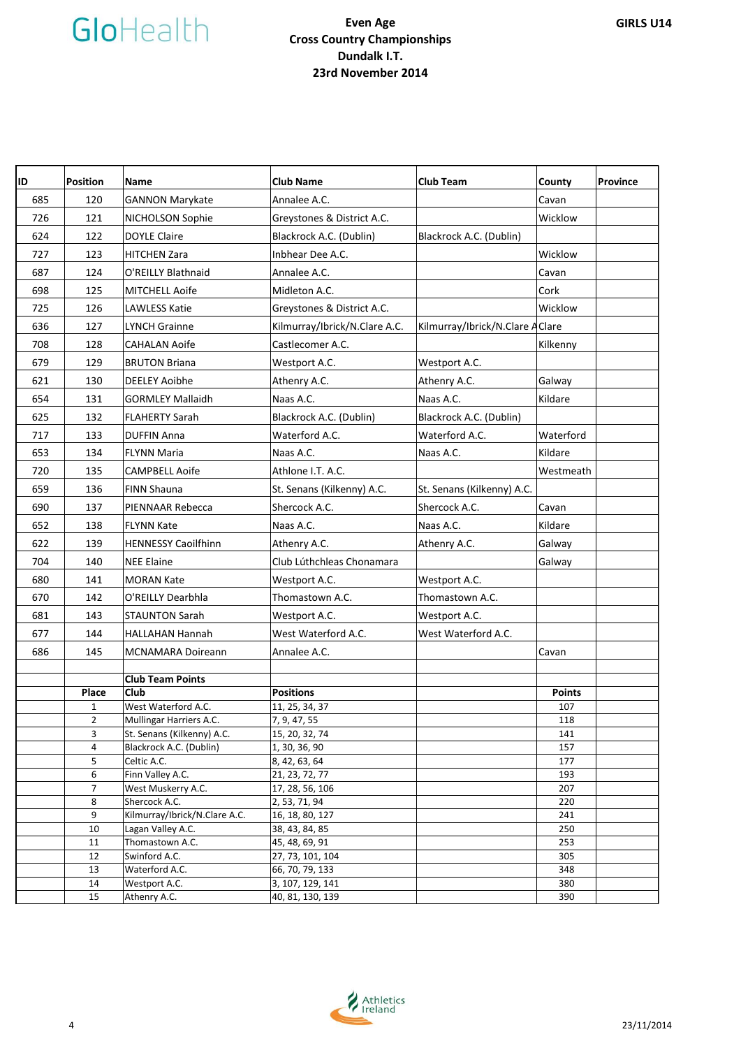| ID  | <b>Position</b> | <b>Name</b>                   | <b>Club Name</b>              | <b>Club Team</b>                 | County        | <b>Province</b> |
|-----|-----------------|-------------------------------|-------------------------------|----------------------------------|---------------|-----------------|
| 685 | 120             | <b>GANNON Marykate</b>        | Annalee A.C.                  |                                  | Cavan         |                 |
| 726 | 121             | NICHOLSON Sophie              | Greystones & District A.C.    |                                  | Wicklow       |                 |
| 624 | 122             | <b>DOYLE Claire</b>           | Blackrock A.C. (Dublin)       | Blackrock A.C. (Dublin)          |               |                 |
| 727 | 123             | <b>HITCHEN Zara</b>           | Inbhear Dee A.C.              |                                  | Wicklow       |                 |
| 687 | 124             | O'REILLY Blathnaid            | Annalee A.C.                  |                                  | Cavan         |                 |
| 698 | 125             | MITCHELL Aoife                | Midleton A.C.                 |                                  | Cork          |                 |
| 725 | 126             | <b>LAWLESS Katie</b>          | Greystones & District A.C.    |                                  | Wicklow       |                 |
| 636 | 127             | LYNCH Grainne                 | Kilmurray/Ibrick/N.Clare A.C. | Kilmurray/Ibrick/N.Clare A Clare |               |                 |
|     |                 |                               |                               |                                  |               |                 |
| 708 | 128             | <b>CAHALAN Aoife</b>          | Castlecomer A.C.              |                                  | Kilkenny      |                 |
| 679 | 129             | <b>BRUTON Briana</b>          | Westport A.C.                 | Westport A.C.                    |               |                 |
| 621 | 130             | <b>DEELEY Aoibhe</b>          | Athenry A.C.                  | Athenry A.C.                     | Galway        |                 |
| 654 | 131             | <b>GORMLEY Mallaidh</b>       | Naas A.C.                     | Naas A.C.                        | Kildare       |                 |
| 625 | 132             | <b>FLAHERTY Sarah</b>         | Blackrock A.C. (Dublin)       | Blackrock A.C. (Dublin)          |               |                 |
| 717 | 133             | <b>DUFFIN Anna</b>            | Waterford A.C.                | Waterford A.C.                   | Waterford     |                 |
| 653 | 134             | FLYNN Maria                   | Naas A.C.                     | Naas A.C.                        | Kildare       |                 |
| 720 | 135             | <b>CAMPBELL Aoife</b>         | Athlone I.T. A.C.             |                                  | Westmeath     |                 |
| 659 | 136             | <b>FINN Shauna</b>            | St. Senans (Kilkenny) A.C.    | St. Senans (Kilkenny) A.C.       |               |                 |
| 690 | 137             | PIENNAAR Rebecca              | Shercock A.C.                 | Shercock A.C.                    | Cavan         |                 |
| 652 | 138             | <b>FLYNN Kate</b>             | Naas A.C.                     | Naas A.C.                        | Kildare       |                 |
| 622 | 139             | <b>HENNESSY Caoilfhinn</b>    | Athenry A.C.                  | Athenry A.C.                     | Galway        |                 |
| 704 | 140             | <b>NEE Elaine</b>             | Club Lúthchleas Chonamara     |                                  | Galway        |                 |
| 680 | 141             | <b>MORAN Kate</b>             | Westport A.C.                 | Westport A.C.                    |               |                 |
|     | 142             | O'REILLY Dearbhla             | Thomastown A.C.               | Thomastown A.C.                  |               |                 |
| 670 |                 |                               |                               |                                  |               |                 |
| 681 | 143             | <b>STAUNTON Sarah</b>         | Westport A.C.                 | Westport A.C.                    |               |                 |
| 677 | 144             | <b>HALLAHAN Hannah</b>        | West Waterford A.C.           | West Waterford A.C.              |               |                 |
| 686 | 145             | <b>MCNAMARA Doireann</b>      | Annalee A.C.                  |                                  | Cavan         |                 |
|     |                 | <b>Club Team Points</b>       |                               |                                  |               |                 |
|     | Place           | Club                          | <b>Positions</b>              |                                  | <b>Points</b> |                 |
|     | $\mathbf{1}$    | West Waterford A.C.           | 11, 25, 34, 37                |                                  | 107           |                 |
|     | $\mathbf 2$     | Mullingar Harriers A.C.       | 7, 9, 47, 55                  |                                  | 118           |                 |
|     | 3               | St. Senans (Kilkenny) A.C.    | 15, 20, 32, 74                |                                  | 141           |                 |
|     | 4               | Blackrock A.C. (Dublin)       | 1, 30, 36, 90                 |                                  | 157           |                 |
|     | 5               | Celtic A.C.                   | 8, 42, 63, 64                 |                                  | 177           |                 |
|     | 6               | Finn Valley A.C.              | 21, 23, 72, 77                |                                  | 193           |                 |
|     | $\overline{7}$  | West Muskerry A.C.            | 17, 28, 56, 106               |                                  | 207           |                 |
|     | 8               | Shercock A.C.                 | 2, 53, 71, 94                 |                                  | 220           |                 |
|     | 9               | Kilmurray/Ibrick/N.Clare A.C. | 16, 18, 80, 127               |                                  | 241           |                 |
|     | 10              | Lagan Valley A.C.             | 38, 43, 84, 85                |                                  | 250           |                 |
|     | 11              | Thomastown A.C.               | 45, 48, 69, 91                |                                  | 253           |                 |
|     | 12              | Swinford A.C.                 | 27, 73, 101, 104              |                                  | 305           |                 |
|     | 13              | Waterford A.C.                | 66, 70, 79, 133               |                                  | 348           |                 |
|     | 14              | Westport A.C.                 | 3, 107, 129, 141              |                                  | 380           |                 |
|     | 15              | Athenry A.C.                  | 40, 81, 130, 139              |                                  | 390           |                 |